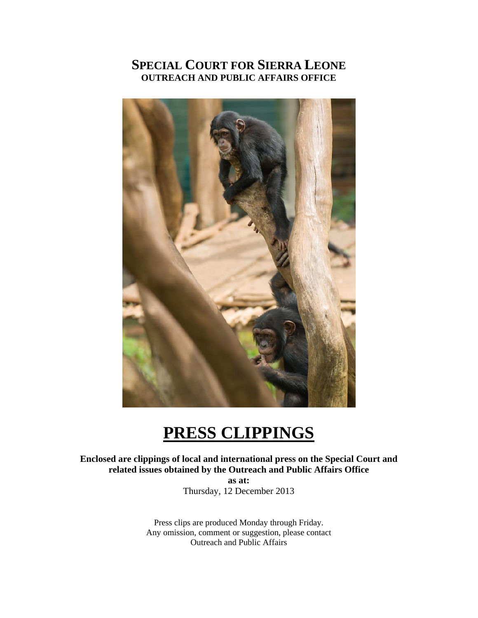# **SPECIAL COURT FOR SIERRA LEONE OUTREACH AND PUBLIC AFFAIRS OFFICE**



# **PRESS CLIPPINGS**

**Enclosed are clippings of local and international press on the Special Court and related issues obtained by the Outreach and Public Affairs Office as at:** 

Thursday, 12 December 2013

Press clips are produced Monday through Friday. Any omission, comment or suggestion, please contact Outreach and Public Affairs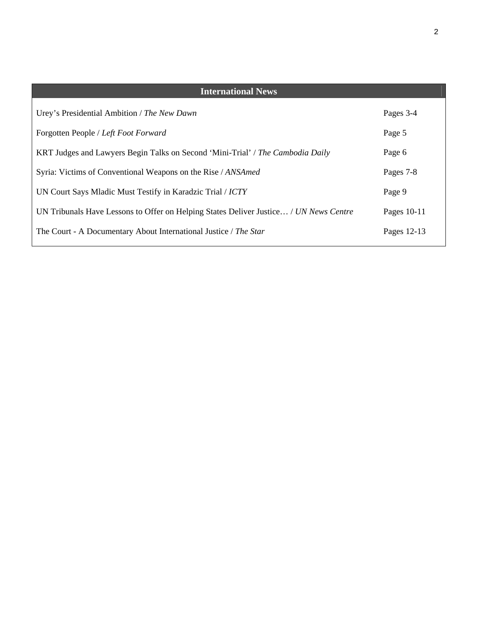| <b>International News</b>                                                             |             |
|---------------------------------------------------------------------------------------|-------------|
| Urey's Presidential Ambition / The New Dawn                                           | Pages 3-4   |
| Forgotten People / Left Foot Forward                                                  | Page 5      |
| KRT Judges and Lawyers Begin Talks on Second 'Mini-Trial' / The Cambodia Daily        | Page 6      |
| Syria: Victims of Conventional Weapons on the Rise / ANSAmed                          | Pages 7-8   |
| UN Court Says Mladic Must Testify in Karadzic Trial / ICTY                            | Page 9      |
| UN Tribunals Have Lessons to Offer on Helping States Deliver Justice / UN News Centre | Pages 10-11 |
| The Court - A Documentary About International Justice / The Star                      | Pages 12-13 |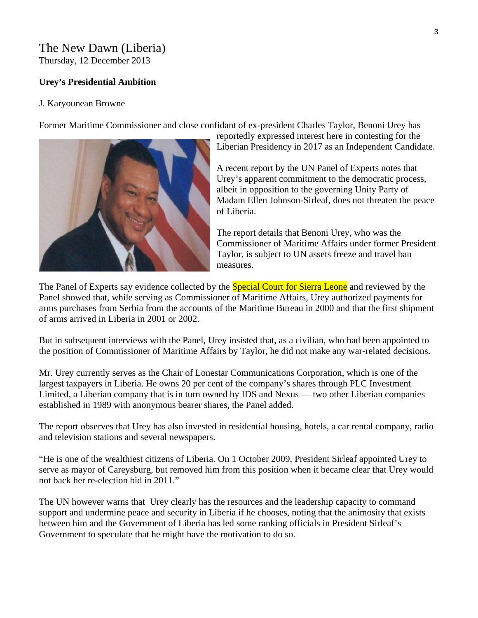# The New Dawn (Liberia) Thursday, 12 December 2013

## **Urey's Presidential Ambition**

#### J. Karyounean Browne

Former Maritime Commissioner and close confidant of ex-president Charles Taylor, Benoni Urey has



reportedly expressed interest here in contesting for the Liberian Presidency in 2017 as an Independent Candidate.

A recent report by the UN Panel of Experts notes that Urey's apparent commitment to the democratic process, albeit in opposition to the governing Unity Party of Madam Ellen Johnson-Sirleaf, does not threaten the peace of Liberia.

The report details that Benoni Urey, who was the Commissioner of Maritime Affairs under former President Taylor, is subject to UN assets freeze and travel ban measures.

The Panel of Experts say evidence collected by the **Special Court for Sierra Leone** and reviewed by the Panel showed that, while serving as Commissioner of Maritime Affairs, Urey authorized payments for arms purchases from Serbia from the accounts of the Maritime Bureau in 2000 and that the first shipment of arms arrived in Liberia in 2001 or 2002.

But in subsequent interviews with the Panel, Urey insisted that, as a civilian, who had been appointed to the position of Commissioner of Maritime Affairs by Taylor, he did not make any war-related decisions.

Mr. Urey currently serves as the Chair of Lonestar Communications Corporation, which is one of the largest taxpayers in Liberia. He owns 20 per cent of the company's shares through PLC Investment Limited, a Liberian company that is in turn owned by IDS and Nexus — two other Liberian companies established in 1989 with anonymous bearer shares, the Panel added.

The report observes that Urey has also invested in residential housing, hotels, a car rental company, radio and television stations and several newspapers.

"He is one of the wealthiest citizens of Liberia. On 1 October 2009, President Sirleaf appointed Urey to serve as mayor of Careysburg, but removed him from this position when it became clear that Urey would not back her re-election bid in 2011."

The UN however warns that Urey clearly has the resources and the leadership capacity to command support and undermine peace and security in Liberia if he chooses, noting that the animosity that exists between him and the Government of Liberia has led some ranking officials in President Sirleaf's Government to speculate that he might have the motivation to do so.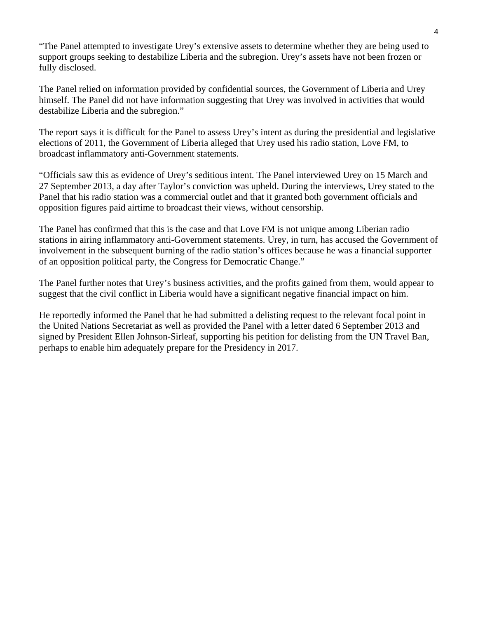"The Panel attempted to investigate Urey's extensive assets to determine whether they are being used to support groups seeking to destabilize Liberia and the subregion. Urey's assets have not been frozen or fully disclosed.

The Panel relied on information provided by confidential sources, the Government of Liberia and Urey himself. The Panel did not have information suggesting that Urey was involved in activities that would destabilize Liberia and the subregion."

The report says it is difficult for the Panel to assess Urey's intent as during the presidential and legislative elections of 2011, the Government of Liberia alleged that Urey used his radio station, Love FM, to broadcast inflammatory anti-Government statements.

"Officials saw this as evidence of Urey's seditious intent. The Panel interviewed Urey on 15 March and 27 September 2013, a day after Taylor's conviction was upheld. During the interviews, Urey stated to the Panel that his radio station was a commercial outlet and that it granted both government officials and opposition figures paid airtime to broadcast their views, without censorship.

The Panel has confirmed that this is the case and that Love FM is not unique among Liberian radio stations in airing inflammatory anti-Government statements. Urey, in turn, has accused the Government of involvement in the subsequent burning of the radio station's offices because he was a financial supporter of an opposition political party, the Congress for Democratic Change."

The Panel further notes that Urey's business activities, and the profits gained from them, would appear to suggest that the civil conflict in Liberia would have a significant negative financial impact on him.

He reportedly informed the Panel that he had submitted a delisting request to the relevant focal point in the United Nations Secretariat as well as provided the Panel with a letter dated 6 September 2013 and signed by President Ellen Johnson-Sirleaf, supporting his petition for delisting from the UN Travel Ban, perhaps to enable him adequately prepare for the Presidency in 2017.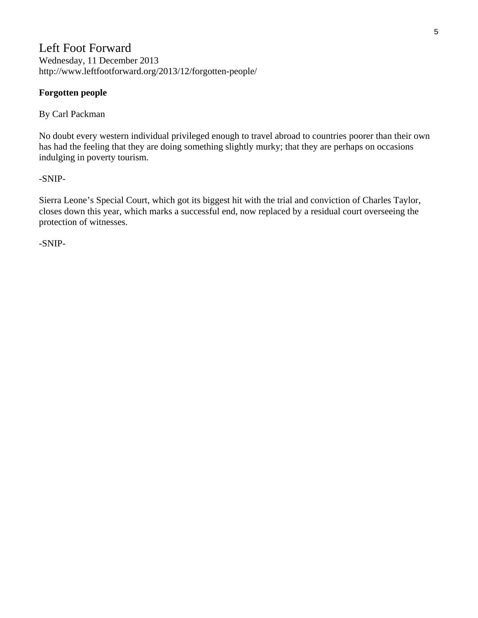# Left Foot Forward Wednesday, 11 December 2013 http://www.leftfootforward.org/2013/12/forgotten-people/

## **Forgotten people**

By Carl Packman

No doubt every western individual privileged enough to travel abroad to countries poorer than their own has had the feeling that they are doing something slightly murky; that they are perhaps on occasions indulging in poverty tourism.

#### -SNIP-

Sierra Leone's Special Court, which got its biggest hit with the trial and conviction of Charles Taylor, closes down this year, which marks a successful end, now replaced by a residual court overseeing the protection of witnesses.

-SNIP-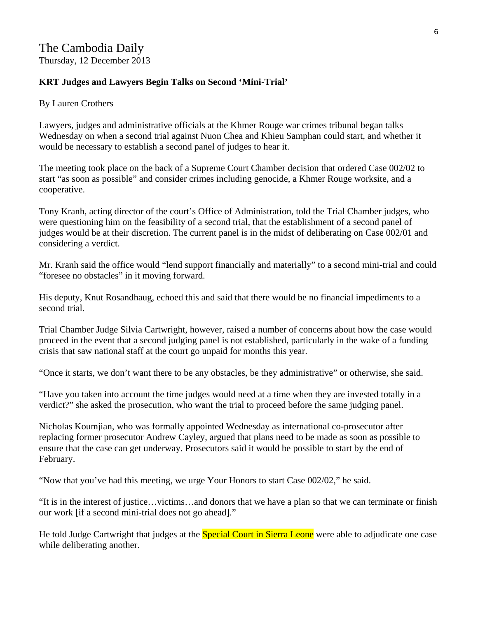# The Cambodia Daily Thursday, 12 December 2013

### **KRT Judges and Lawyers Begin Talks on Second 'Mini-Trial'**

#### By Lauren Crothers

Lawyers, judges and administrative officials at the Khmer Rouge war crimes tribunal began talks Wednesday on when a second trial against Nuon Chea and Khieu Samphan could start, and whether it would be necessary to establish a second panel of judges to hear it.

The meeting took place on the back of a Supreme Court Chamber decision that ordered Case 002/02 to start "as soon as possible" and consider crimes including genocide, a Khmer Rouge worksite, and a cooperative.

Tony Kranh, acting director of the court's Office of Administration, told the Trial Chamber judges, who were questioning him on the feasibility of a second trial, that the establishment of a second panel of judges would be at their discretion. The current panel is in the midst of deliberating on Case 002/01 and considering a verdict.

Mr. Kranh said the office would "lend support financially and materially" to a second mini-trial and could "foresee no obstacles" in it moving forward.

His deputy, Knut Rosandhaug, echoed this and said that there would be no financial impediments to a second trial.

Trial Chamber Judge Silvia Cartwright, however, raised a number of concerns about how the case would proceed in the event that a second judging panel is not established, particularly in the wake of a funding crisis that saw national staff at the court go unpaid for months this year.

"Once it starts, we don't want there to be any obstacles, be they administrative" or otherwise, she said.

"Have you taken into account the time judges would need at a time when they are invested totally in a verdict?" she asked the prosecution, who want the trial to proceed before the same judging panel.

Nicholas Koumjian, who was formally appointed Wednesday as international co-prosecutor after replacing former prosecutor Andrew Cayley, argued that plans need to be made as soon as possible to ensure that the case can get underway. Prosecutors said it would be possible to start by the end of February.

"Now that you've had this meeting, we urge Your Honors to start Case 002/02," he said.

"It is in the interest of justice…victims…and donors that we have a plan so that we can terminate or finish our work [if a second mini-trial does not go ahead]."

He told Judge Cartwright that judges at the **Special Court in Sierra Leone** were able to adjudicate one case while deliberating another.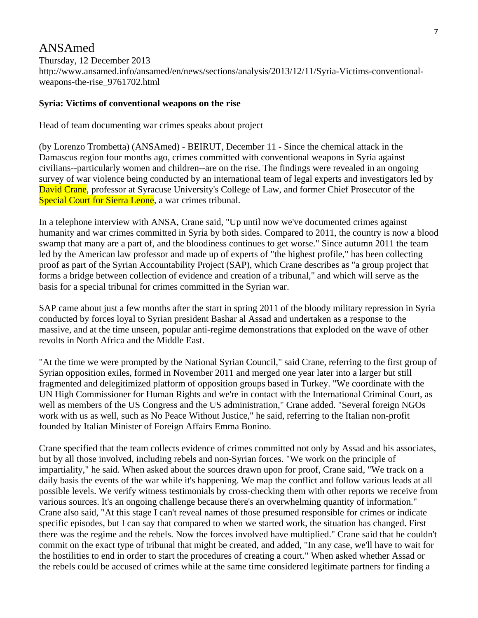# ANSAmed

Thursday, 12 December 2013 http://www.ansamed.info/ansamed/en/news/sections/analysis/2013/12/11/Syria-Victims-conventionalweapons-the-rise\_9761702.html

#### **Syria: Victims of conventional weapons on the rise**

Head of team documenting war crimes speaks about project

(by Lorenzo Trombetta) (ANSAmed) - BEIRUT, December 11 - Since the chemical attack in the Damascus region four months ago, crimes committed with conventional weapons in Syria against civilians--particularly women and children--are on the rise. The findings were revealed in an ongoing survey of war violence being conducted by an international team of legal experts and investigators led by David Crane, professor at Syracuse University's College of Law, and former Chief Prosecutor of the Special Court for Sierra Leone, a war crimes tribunal.

In a telephone interview with ANSA, Crane said, "Up until now we've documented crimes against humanity and war crimes committed in Syria by both sides. Compared to 2011, the country is now a blood swamp that many are a part of, and the bloodiness continues to get worse." Since autumn 2011 the team led by the American law professor and made up of experts of "the highest profile," has been collecting proof as part of the Syrian Accountability Project (SAP), which Crane describes as "a group project that forms a bridge between collection of evidence and creation of a tribunal," and which will serve as the basis for a special tribunal for crimes committed in the Syrian war.

SAP came about just a few months after the start in spring 2011 of the bloody military repression in Syria conducted by forces loyal to Syrian president Bashar al Assad and undertaken as a response to the massive, and at the time unseen, popular anti-regime demonstrations that exploded on the wave of other revolts in North Africa and the Middle East.

"At the time we were prompted by the National Syrian Council," said Crane, referring to the first group of Syrian opposition exiles, formed in November 2011 and merged one year later into a larger but still fragmented and delegitimized platform of opposition groups based in Turkey. "We coordinate with the UN High Commissioner for Human Rights and we're in contact with the International Criminal Court, as well as members of the US Congress and the US administration," Crane added. "Several foreign NGOs work with us as well, such as No Peace Without Justice," he said, referring to the Italian non-profit founded by Italian Minister of Foreign Affairs Emma Bonino.

Crane specified that the team collects evidence of crimes committed not only by Assad and his associates, but by all those involved, including rebels and non-Syrian forces. "We work on the principle of impartiality," he said. When asked about the sources drawn upon for proof, Crane said, "We track on a daily basis the events of the war while it's happening. We map the conflict and follow various leads at all possible levels. We verify witness testimonials by cross-checking them with other reports we receive from various sources. It's an ongoing challenge because there's an overwhelming quantity of information." Crane also said, "At this stage I can't reveal names of those presumed responsible for crimes or indicate specific episodes, but I can say that compared to when we started work, the situation has changed. First there was the regime and the rebels. Now the forces involved have multiplied." Crane said that he couldn't commit on the exact type of tribunal that might be created, and added, "In any case, we'll have to wait for the hostilities to end in order to start the procedures of creating a court." When asked whether Assad or the rebels could be accused of crimes while at the same time considered legitimate partners for finding a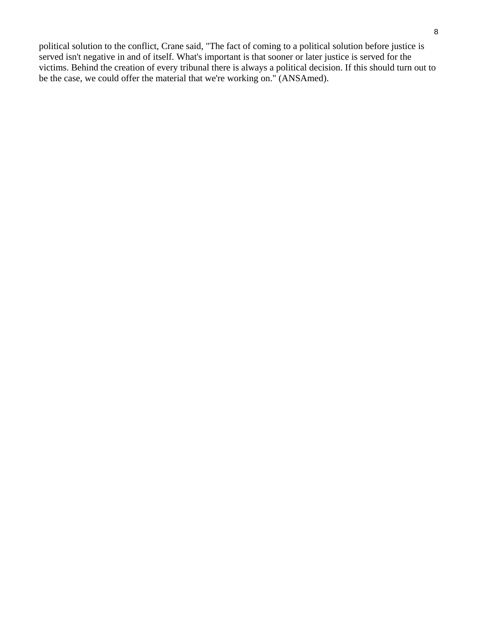political solution to the conflict, Crane said, "The fact of coming to a political solution before justice is served isn't negative in and of itself. What's important is that sooner or later justice is served for the victims. Behind the creation of every tribunal there is always a political decision. If this should turn out to be the case, we could offer the material that we're working on." (ANSAmed).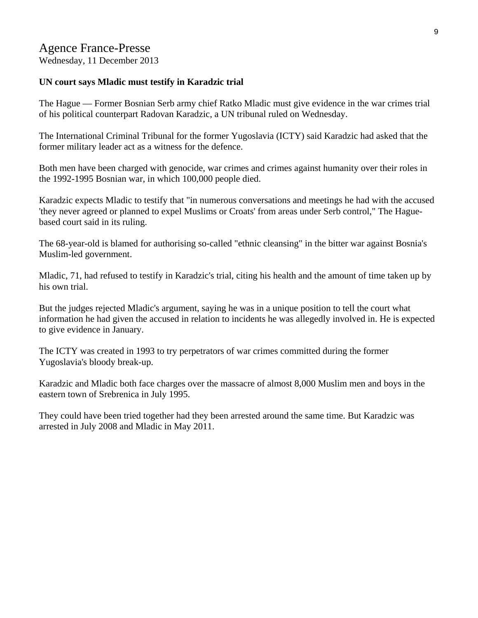# Agence France-Presse

Wednesday, 11 December 2013

#### **UN court says Mladic must testify in Karadzic trial**

The Hague — Former Bosnian Serb army chief Ratko Mladic must give evidence in the war crimes trial of his political counterpart Radovan Karadzic, a UN tribunal ruled on Wednesday.

The International Criminal Tribunal for the former Yugoslavia (ICTY) said Karadzic had asked that the former military leader act as a witness for the defence.

Both men have been charged with genocide, war crimes and crimes against humanity over their roles in the 1992-1995 Bosnian war, in which 100,000 people died.

Karadzic expects Mladic to testify that "in numerous conversations and meetings he had with the accused 'they never agreed or planned to expel Muslims or Croats' from areas under Serb control," The Haguebased court said in its ruling.

The 68-year-old is blamed for authorising so-called "ethnic cleansing" in the bitter war against Bosnia's Muslim-led government.

Mladic, 71, had refused to testify in Karadzic's trial, citing his health and the amount of time taken up by his own trial.

But the judges rejected Mladic's argument, saying he was in a unique position to tell the court what information he had given the accused in relation to incidents he was allegedly involved in. He is expected to give evidence in January.

The ICTY was created in 1993 to try perpetrators of war crimes committed during the former Yugoslavia's bloody break-up.

Karadzic and Mladic both face charges over the massacre of almost 8,000 Muslim men and boys in the eastern town of Srebrenica in July 1995.

They could have been tried together had they been arrested around the same time. But Karadzic was arrested in July 2008 and Mladic in May 2011.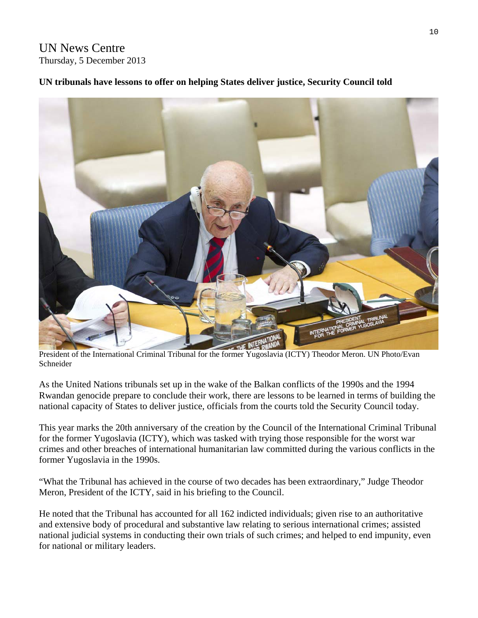# UN News Centre Thursday, 5 December 2013

# **UN tribunals have lessons to offer on helping States deliver justice, Security Council told**



President of the International Criminal Tribunal for the former Yugoslavia (ICTY) Theodor Meron. UN Photo/Evan Schneider

As the United Nations tribunals set up in the wake of the Balkan conflicts of the 1990s and the 1994 Rwandan genocide prepare to conclude their work, there are lessons to be learned in terms of building the national capacity of States to deliver justice, officials from the courts told the Security Council today.

This year marks the 20th anniversary of the creation by the Council of the International Criminal Tribunal for the former Yugoslavia (ICTY), which was tasked with trying those responsible for the worst war crimes and other breaches of international humanitarian law committed during the various conflicts in the former Yugoslavia in the 1990s.

"What the Tribunal has achieved in the course of two decades has been extraordinary," Judge Theodor Meron, President of the ICTY, said in his briefing to the Council.

He noted that the Tribunal has accounted for all 162 indicted individuals; given rise to an authoritative and extensive body of procedural and substantive law relating to serious international crimes; assisted national judicial systems in conducting their own trials of such crimes; and helped to end impunity, even for national or military leaders.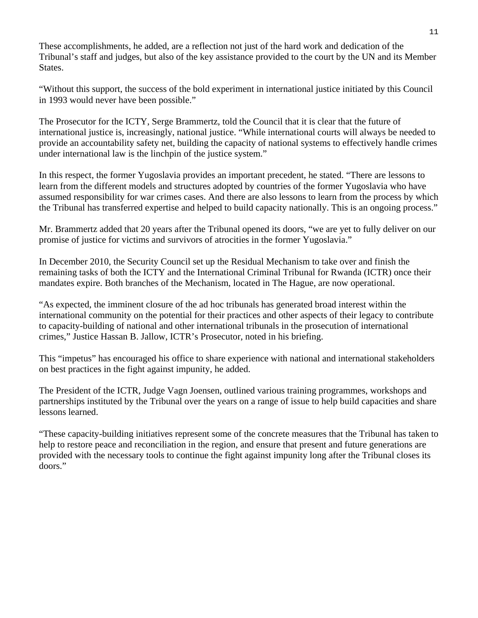These accomplishments, he added, are a reflection not just of the hard work and dedication of the Tribunal's staff and judges, but also of the key assistance provided to the court by the UN and its Member States.

"Without this support, the success of the bold experiment in international justice initiated by this Council in 1993 would never have been possible."

The Prosecutor for the ICTY, Serge Brammertz, told the Council that it is clear that the future of international justice is, increasingly, national justice. "While international courts will always be needed to provide an accountability safety net, building the capacity of national systems to effectively handle crimes under international law is the linchpin of the justice system."

In this respect, the former Yugoslavia provides an important precedent, he stated. "There are lessons to learn from the different models and structures adopted by countries of the former Yugoslavia who have assumed responsibility for war crimes cases. And there are also lessons to learn from the process by which the Tribunal has transferred expertise and helped to build capacity nationally. This is an ongoing process."

Mr. Brammertz added that 20 years after the Tribunal opened its doors, "we are yet to fully deliver on our promise of justice for victims and survivors of atrocities in the former Yugoslavia."

In December 2010, the Security Council set up the Residual Mechanism to take over and finish the remaining tasks of both the ICTY and the International Criminal Tribunal for Rwanda (ICTR) once their mandates expire. Both branches of the Mechanism, located in The Hague, are now operational.

"As expected, the imminent closure of the ad hoc tribunals has generated broad interest within the international community on the potential for their practices and other aspects of their legacy to contribute to capacity-building of national and other international tribunals in the prosecution of international crimes," Justice Hassan B. Jallow, ICTR's Prosecutor, noted in his briefing.

This "impetus" has encouraged his office to share experience with national and international stakeholders on best practices in the fight against impunity, he added.

The President of the ICTR, Judge Vagn Joensen, outlined various training programmes, workshops and partnerships instituted by the Tribunal over the years on a range of issue to help build capacities and share lessons learned.

"These capacity-building initiatives represent some of the concrete measures that the Tribunal has taken to help to restore peace and reconciliation in the region, and ensure that present and future generations are provided with the necessary tools to continue the fight against impunity long after the Tribunal closes its doors."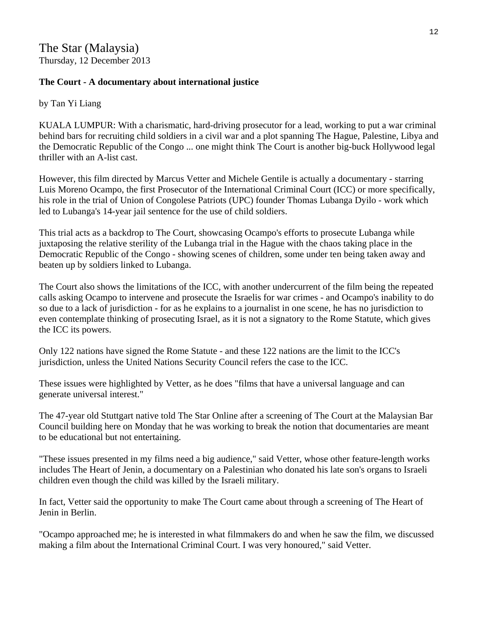# **The Court - A documentary about international justice**

by Tan Yi Liang

KUALA LUMPUR: With a charismatic, hard-driving prosecutor for a lead, working to put a war criminal behind bars for recruiting child soldiers in a civil war and a plot spanning The Hague, Palestine, Libya and the Democratic Republic of the Congo ... one might think The Court is another big-buck Hollywood legal thriller with an A-list cast.

However, this film directed by Marcus Vetter and Michele Gentile is actually a documentary - starring Luis Moreno Ocampo, the first Prosecutor of the International Criminal Court (ICC) or more specifically, his role in the trial of Union of Congolese Patriots (UPC) founder Thomas Lubanga Dyilo - work which led to Lubanga's 14-year jail sentence for the use of child soldiers.

This trial acts as a backdrop to The Court, showcasing Ocampo's efforts to prosecute Lubanga while juxtaposing the relative sterility of the Lubanga trial in the Hague with the chaos taking place in the Democratic Republic of the Congo - showing scenes of children, some under ten being taken away and beaten up by soldiers linked to Lubanga.

The Court also shows the limitations of the ICC, with another undercurrent of the film being the repeated calls asking Ocampo to intervene and prosecute the Israelis for war crimes - and Ocampo's inability to do so due to a lack of jurisdiction - for as he explains to a journalist in one scene, he has no jurisdiction to even contemplate thinking of prosecuting Israel, as it is not a signatory to the Rome Statute, which gives the ICC its powers.

Only 122 nations have signed the Rome Statute - and these 122 nations are the limit to the ICC's jurisdiction, unless the United Nations Security Council refers the case to the ICC.

These issues were highlighted by Vetter, as he does "films that have a universal language and can generate universal interest."

The 47-year old Stuttgart native told The Star Online after a screening of The Court at the Malaysian Bar Council building here on Monday that he was working to break the notion that documentaries are meant to be educational but not entertaining.

"These issues presented in my films need a big audience," said Vetter, whose other feature-length works includes The Heart of Jenin, a documentary on a Palestinian who donated his late son's organs to Israeli children even though the child was killed by the Israeli military.

In fact, Vetter said the opportunity to make The Court came about through a screening of The Heart of Jenin in Berlin.

"Ocampo approached me; he is interested in what filmmakers do and when he saw the film, we discussed making a film about the International Criminal Court. I was very honoured," said Vetter.